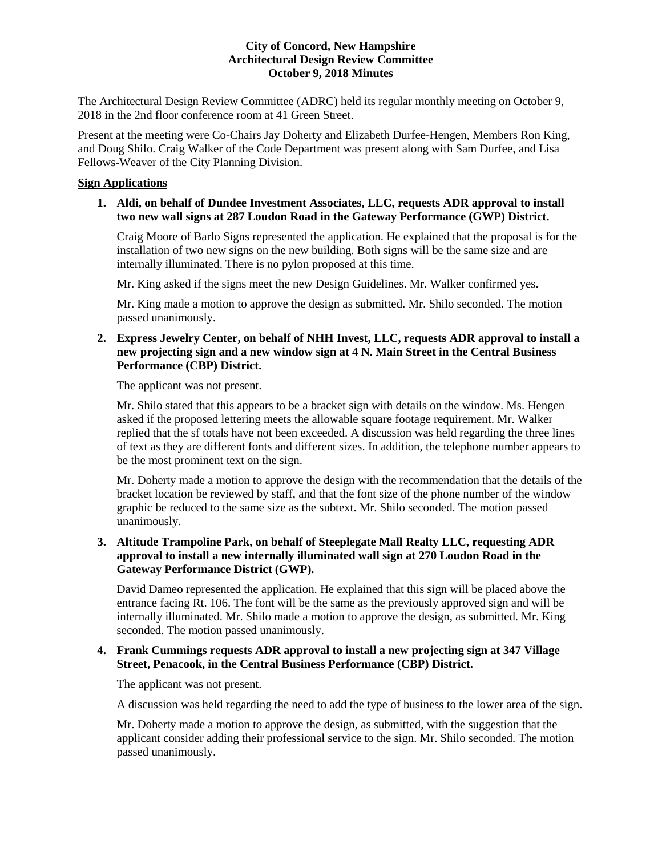The Architectural Design Review Committee (ADRC) held its regular monthly meeting on October 9, 2018 in the 2nd floor conference room at 41 Green Street.

Present at the meeting were Co-Chairs Jay Doherty and Elizabeth Durfee-Hengen, Members Ron King, and Doug Shilo. Craig Walker of the Code Department was present along with Sam Durfee, and Lisa Fellows-Weaver of the City Planning Division.

# **Sign Applications**

# **1. [Aldi,](https://www.concordnh.gov/DocumentCenter/View/12505/Aldi_ADR) on behalf of Dundee Investment Associates, LLC, requests ADR approval to install two new wall signs at 287 Loudon Road in the Gateway Performance (GWP) District.**

Craig Moore of Barlo Signs represented the application. He explained that the proposal is for the installation of two new signs on the new building. Both signs will be the same size and are internally illuminated. There is no pylon proposed at this time.

Mr. King asked if the signs meet the new Design Guidelines. Mr. Walker confirmed yes.

Mr. King made a motion to approve the design as submitted. Mr. Shilo seconded. The motion passed unanimously.

# **2. [Express Jewelry Center,](https://www.concordnh.gov/DocumentCenter/View/12506/ExpressJewelry_ADR) on behalf of NHH Invest, LLC, requests ADR approval to install a new projecting sign and a new window sign at 4 N. Main Street in the Central Business Performance (CBP) District.**

The applicant was not present.

Mr. Shilo stated that this appears to be a bracket sign with details on the window. Ms. Hengen asked if the proposed lettering meets the allowable square footage requirement. Mr. Walker replied that the sf totals have not been exceeded. A discussion was held regarding the three lines of text as they are different fonts and different sizes. In addition, the telephone number appears to be the most prominent text on the sign.

Mr. Doherty made a motion to approve the design with the recommendation that the details of the bracket location be reviewed by staff, and that the font size of the phone number of the window graphic be reduced to the same size as the subtext. Mr. Shilo seconded. The motion passed unanimously.

# **3. [Altitude Trampoline Park,](https://www.concordnh.gov/DocumentCenter/View/12507/AltitudeTrampoline_ADR) on behalf of Steeplegate Mall Realty LLC, requesting ADR approval to install a new internally illuminated wall sign at 270 Loudon Road in the Gateway Performance District (GWP).**

David Dameo represented the application. He explained that this sign will be placed above the entrance facing Rt. 106. The font will be the same as the previously approved sign and will be internally illuminated. Mr. Shilo made a motion to approve the design, as submitted. Mr. King seconded. The motion passed unanimously.

# **4. [Frank Cummings](https://www.concordnh.gov/DocumentCenter/View/12508/AMLP_ADR) requests ADR approval to install a new projecting sign at 347 Village Street, Penacook, in the Central Business Performance (CBP) District.**

The applicant was not present.

A discussion was held regarding the need to add the type of business to the lower area of the sign.

Mr. Doherty made a motion to approve the design, as submitted, with the suggestion that the applicant consider adding their professional service to the sign. Mr. Shilo seconded. The motion passed unanimously.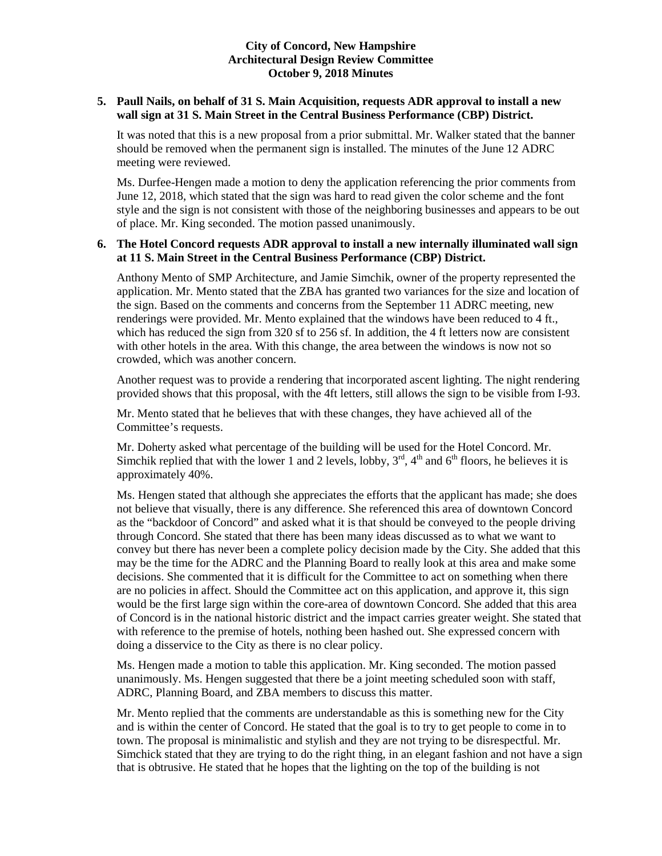# **5. [Paull Nails,](https://www.concordnh.gov/DocumentCenter/View/12509/PaullNails_ADR) on behalf of 31 S. Main Acquisition, requests ADR approval to install a new wall sign at 31 S. Main Street in the Central Business Performance (CBP) District.**

It was noted that this is a new proposal from a prior submittal. Mr. Walker stated that the banner should be removed when the permanent sign is installed. The minutes of the June 12 ADRC meeting were reviewed.

Ms. Durfee-Hengen made a motion to deny the application referencing the prior comments from June 12, 2018, which stated that the sign was hard to read given the color scheme and the font style and the sign is not consistent with those of the neighboring businesses and appears to be out of place. Mr. King seconded. The motion passed unanimously.

# **6. [The Hotel Concord](https://www.concordnh.gov/DocumentCenter/View/12510/The-Hotel-Concord---I-93-sign-application-2-final-rev) requests ADR approval to install a new internally illuminated wall sign at 11 S. Main Street in the Central Business Performance (CBP) District.**

Anthony Mento of SMP Architecture, and Jamie Simchik, owner of the property represented the application. Mr. Mento stated that the ZBA has granted two variances for the size and location of the sign. Based on the comments and concerns from the September 11 ADRC meeting, new renderings were provided. Mr. Mento explained that the windows have been reduced to 4 ft., which has reduced the sign from 320 sf to 256 sf. In addition, the 4 ft letters now are consistent with other hotels in the area. With this change, the area between the windows is now not so crowded, which was another concern.

Another request was to provide a rendering that incorporated ascent lighting. The night rendering provided shows that this proposal, with the 4ft letters, still allows the sign to be visible from I-93.

Mr. Mento stated that he believes that with these changes, they have achieved all of the Committee's requests.

Mr. Doherty asked what percentage of the building will be used for the Hotel Concord. Mr. Simchik replied that with the lower 1 and 2 levels, lobby,  $3<sup>rd</sup>$ ,  $4<sup>th</sup>$  and  $6<sup>th</sup>$  floors, he believes it is approximately 40%.

Ms. Hengen stated that although she appreciates the efforts that the applicant has made; she does not believe that visually, there is any difference. She referenced this area of downtown Concord as the "backdoor of Concord" and asked what it is that should be conveyed to the people driving through Concord. She stated that there has been many ideas discussed as to what we want to convey but there has never been a complete policy decision made by the City. She added that this may be the time for the ADRC and the Planning Board to really look at this area and make some decisions. She commented that it is difficult for the Committee to act on something when there are no policies in affect. Should the Committee act on this application, and approve it, this sign would be the first large sign within the core-area of downtown Concord. She added that this area of Concord is in the national historic district and the impact carries greater weight. She stated that with reference to the premise of hotels, nothing been hashed out. She expressed concern with doing a disservice to the City as there is no clear policy.

Ms. Hengen made a motion to table this application. Mr. King seconded. The motion passed unanimously. Ms. Hengen suggested that there be a joint meeting scheduled soon with staff, ADRC, Planning Board, and ZBA members to discuss this matter.

Mr. Mento replied that the comments are understandable as this is something new for the City and is within the center of Concord. He stated that the goal is to try to get people to come in to town. The proposal is minimalistic and stylish and they are not trying to be disrespectful. Mr. Simchick stated that they are trying to do the right thing, in an elegant fashion and not have a sign that is obtrusive. He stated that he hopes that the lighting on the top of the building is not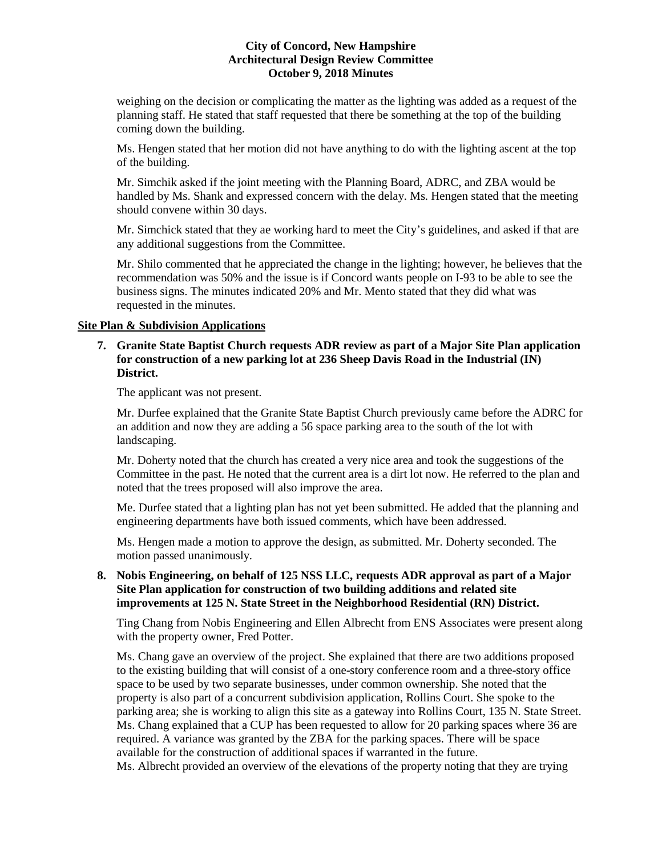weighing on the decision or complicating the matter as the lighting was added as a request of the planning staff. He stated that staff requested that there be something at the top of the building coming down the building.

Ms. Hengen stated that her motion did not have anything to do with the lighting ascent at the top of the building.

Mr. Simchik asked if the joint meeting with the Planning Board, ADRC, and ZBA would be handled by Ms. Shank and expressed concern with the delay. Ms. Hengen stated that the meeting should convene within 30 days.

Mr. Simchick stated that they ae working hard to meet the City's guidelines, and asked if that are any additional suggestions from the Committee.

Mr. Shilo commented that he appreciated the change in the lighting; however, he believes that the recommendation was 50% and the issue is if Concord wants people on I-93 to be able to see the business signs. The minutes indicated 20% and Mr. Mento stated that they did what was requested in the minutes.

# **Site Plan & Subdivision Applications**

# **7. [Granite State Baptist Church](https://www.concordnh.gov/DocumentCenter/View/12513/GSBC_ADR) requests ADR review as part of a Major Site Plan application for construction of a new parking lot at 236 Sheep Davis Road in the Industrial (IN) District.**

The applicant was not present.

Mr. Durfee explained that the Granite State Baptist Church previously came before the ADRC for an addition and now they are adding a 56 space parking area to the south of the lot with landscaping.

Mr. Doherty noted that the church has created a very nice area and took the suggestions of the Committee in the past. He noted that the current area is a dirt lot now. He referred to the plan and noted that the trees proposed will also improve the area.

Me. Durfee stated that a lighting plan has not yet been submitted. He added that the planning and engineering departments have both issued comments, which have been addressed.

Ms. Hengen made a motion to approve the design, as submitted. Mr. Doherty seconded. The motion passed unanimously.

# **8. [Nobis Engineering,](https://www.concordnh.gov/DocumentCenter/View/12511/125NSS_ADR) on behalf of 125 NSS LLC, requests ADR approval as part of a Major Site Plan application for construction of two building additions and related site improvements at 125 N. State Street in the Neighborhood Residential (RN) District.**

Ting Chang from Nobis Engineering and Ellen Albrecht from ENS Associates were present along with the property owner, Fred Potter.

Ms. Chang gave an overview of the project. She explained that there are two additions proposed to the existing building that will consist of a one-story conference room and a three-story office space to be used by two separate businesses, under common ownership. She noted that the property is also part of a concurrent subdivision application, Rollins Court. She spoke to the parking area; she is working to align this site as a gateway into Rollins Court, 135 N. State Street. Ms. Chang explained that a CUP has been requested to allow for 20 parking spaces where 36 are required. A variance was granted by the ZBA for the parking spaces. There will be space available for the construction of additional spaces if warranted in the future.

Ms. Albrecht provided an overview of the elevations of the property noting that they are trying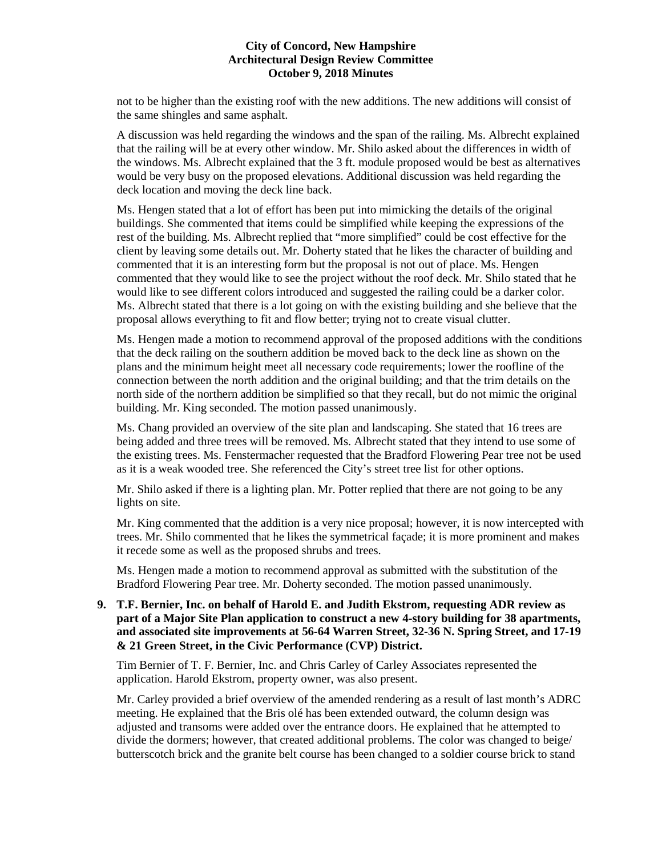not to be higher than the existing roof with the new additions. The new additions will consist of the same shingles and same asphalt.

A discussion was held regarding the windows and the span of the railing. Ms. Albrecht explained that the railing will be at every other window. Mr. Shilo asked about the differences in width of the windows. Ms. Albrecht explained that the 3 ft. module proposed would be best as alternatives would be very busy on the proposed elevations. Additional discussion was held regarding the deck location and moving the deck line back.

Ms. Hengen stated that a lot of effort has been put into mimicking the details of the original buildings. She commented that items could be simplified while keeping the expressions of the rest of the building. Ms. Albrecht replied that "more simplified" could be cost effective for the client by leaving some details out. Mr. Doherty stated that he likes the character of building and commented that it is an interesting form but the proposal is not out of place. Ms. Hengen commented that they would like to see the project without the roof deck. Mr. Shilo stated that he would like to see different colors introduced and suggested the railing could be a darker color. Ms. Albrecht stated that there is a lot going on with the existing building and she believe that the proposal allows everything to fit and flow better; trying not to create visual clutter.

Ms. Hengen made a motion to recommend approval of the proposed additions with the conditions that the deck railing on the southern addition be moved back to the deck line as shown on the plans and the minimum height meet all necessary code requirements; lower the roofline of the connection between the north addition and the original building; and that the trim details on the north side of the northern addition be simplified so that they recall, but do not mimic the original building. Mr. King seconded. The motion passed unanimously.

Ms. Chang provided an overview of the site plan and landscaping. She stated that 16 trees are being added and three trees will be removed. Ms. Albrecht stated that they intend to use some of the existing trees. Ms. Fenstermacher requested that the Bradford Flowering Pear tree not be used as it is a weak wooded tree. She referenced the City's street tree list for other options.

Mr. Shilo asked if there is a lighting plan. Mr. Potter replied that there are not going to be any lights on site.

Mr. King commented that the addition is a very nice proposal; however, it is now intercepted with trees. Mr. Shilo commented that he likes the symmetrical façade; it is more prominent and makes it recede some as well as the proposed shrubs and trees.

Ms. Hengen made a motion to recommend approval as submitted with the substitution of the Bradford Flowering Pear tree. Mr. Doherty seconded. The motion passed unanimously.

**9. [T.F. Bernier, Inc.](https://www.concordnh.gov/DocumentCenter/View/12512/GreenwoodSq_ADR) on behalf of Harold E. and Judith Ekstrom, requesting ADR review as part of a Major Site Plan application to construct a new 4-story building for 38 apartments, and associated site improvements at 56-64 Warren Street, 32-36 N. Spring Street, and 17-19 & 21 Green Street, in the Civic Performance (CVP) District.** 

Tim Bernier of T. F. Bernier, Inc. and Chris Carley of Carley Associates represented the application. Harold Ekstrom, property owner, was also present.

Mr. Carley provided a brief overview of the amended rendering as a result of last month's ADRC meeting. He explained that the Bris olé has been extended outward, the column design was adjusted and transoms were added over the entrance doors. He explained that he attempted to divide the dormers; however, that created additional problems. The color was changed to beige/ butterscotch brick and the granite belt course has been changed to a soldier course brick to stand